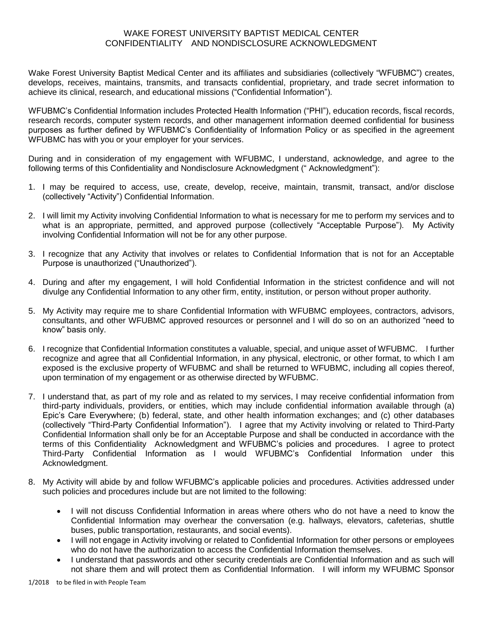## WAKE FOREST UNIVERSITY BAPTIST MEDICAL CENTER CONFIDENTIALITY AND NONDISCLOSURE ACKNOWLEDGMENT

Wake Forest University Baptist Medical Center and its affiliates and subsidiaries (collectively "WFUBMC") creates, develops, receives, maintains, transmits, and transacts confidential, proprietary, and trade secret information to achieve its clinical, research, and educational missions ("Confidential Information").

WFUBMC's Confidential Information includes Protected Health Information ("PHI"), education records, fiscal records, research records, computer system records, and other management information deemed confidential for business purposes as further defined by WFUBMC's Confidentiality of Information Policy or as specified in the agreement WFUBMC has with you or your employer for your services.

During and in consideration of my engagement with WFUBMC, I understand, acknowledge, and agree to the following terms of this Confidentiality and Nondisclosure Acknowledgment (" Acknowledgment"):

- 1. I may be required to access, use, create, develop, receive, maintain, transmit, transact, and/or disclose (collectively "Activity") Confidential Information.
- 2. I will limit my Activity involving Confidential Information to what is necessary for me to perform my services and to what is an appropriate, permitted, and approved purpose (collectively "Acceptable Purpose"). My Activity involving Confidential Information will not be for any other purpose.
- 3. I recognize that any Activity that involves or relates to Confidential Information that is not for an Acceptable Purpose is unauthorized ("Unauthorized").
- 4. During and after my engagement, I will hold Confidential Information in the strictest confidence and will not divulge any Confidential Information to any other firm, entity, institution, or person without proper authority.
- 5. My Activity may require me to share Confidential Information with WFUBMC employees, contractors, advisors, consultants, and other WFUBMC approved resources or personnel and I will do so on an authorized "need to know" basis only.
- 6. I recognize that Confidential Information constitutes a valuable, special, and unique asset of WFUBMC. I further recognize and agree that all Confidential Information, in any physical, electronic, or other format, to which I am exposed is the exclusive property of WFUBMC and shall be returned to WFUBMC, including all copies thereof, upon termination of my engagement or as otherwise directed by WFUBMC.
- 7. I understand that, as part of my role and as related to my services, I may receive confidential information from third-party individuals, providers, or entities, which may include confidential information available through (a) Epic's Care Everywhere; (b) federal, state, and other health information exchanges; and (c) other databases (collectively "Third-Party Confidential Information"). I agree that my Activity involving or related to Third-Party Confidential Information shall only be for an Acceptable Purpose and shall be conducted in accordance with the terms of this Confidentiality Acknowledgment and WFUBMC's policies and procedures. I agree to protect Third-Party Confidential Information as I would WFUBMC's Confidential Information under this Acknowledgment.
- 8. My Activity will abide by and follow WFUBMC's applicable policies and procedures. Activities addressed under such policies and procedures include but are not limited to the following:
	- I will not discuss Confidential Information in areas where others who do not have a need to know the Confidential Information may overhear the conversation (e.g. hallways, elevators, cafeterias, shuttle buses, public transportation, restaurants, and social events).
	- I will not engage in Activity involving or related to Confidential Information for other persons or employees who do not have the authorization to access the Confidential Information themselves.
	- I understand that passwords and other security credentials are Confidential Information and as such will not share them and will protect them as Confidential Information. I will inform my WFUBMC Sponsor